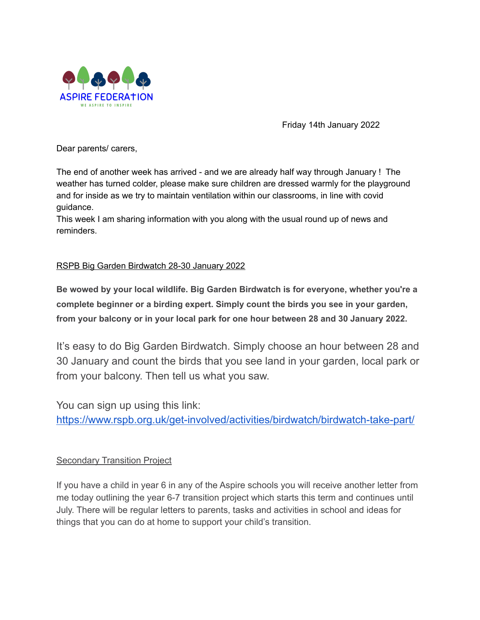

Friday 14th January 2022

Dear parents/ carers,

The end of another week has arrived - and we are already half way through January ! The weather has turned colder, please make sure children are dressed warmly for the playground and for inside as we try to maintain ventilation within our classrooms, in line with covid guidance.

This week I am sharing information with you along with the usual round up of news and reminders.

## RSPB Big Garden Birdwatch 28-30 January 2022

**Be wowed by your local wildlife. Big Garden Birdwatch is for everyone, whether you're a complete beginner or a birding expert. Simply count the birds you see in your garden, from your balcony or in your local park for one hour between 28 and 30 January 2022.**

It's easy to do Big Garden Birdwatch. Simply choose an hour between 28 and 30 January and count the birds that you see land in your garden, local park or from your balcony. Then tell us what you saw.

You can sign up using this link: <https://www.rspb.org.uk/get-involved/activities/birdwatch/birdwatch-take-part/>

#### **Secondary Transition Project**

If you have a child in year 6 in any of the Aspire schools you will receive another letter from me today outlining the year 6-7 transition project which starts this term and continues until July. There will be regular letters to parents, tasks and activities in school and ideas for things that you can do at home to support your child's transition.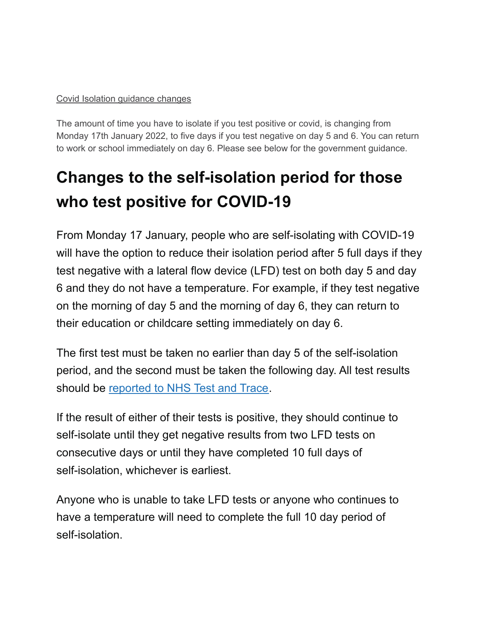# Covid Isolation guidance changes

The amount of time you have to isolate if you test positive or covid, is changing from Monday 17th January 2022, to five days if you test negative on day 5 and 6. You can return to work or school immediately on day 6. Please see below for the government guidance.

# **Changes to the self-isolation period for those who test positive for COVID-19**

From Monday 17 January, people who are self-isolating with COVID-19 will have the option to reduce their isolation period after 5 full days if they test negative with a lateral flow device (LFD) test on both day 5 and day 6 and they do not have a temperature. For example, if they test negative on the morning of day 5 and the morning of day 6, they can return to their education or childcare setting immediately on day 6.

The first test must be taken no earlier than day 5 of the self-isolation period, and the second must be taken the following day. All test results should be [reported](https://www.gov.uk/report-covid19-result?utm_source=14%20January%202022%20C19&utm_medium=Daily%20Email%20C19&utm_campaign=DfE%20C19) to NHS Test and Trace.

If the result of either of their tests is positive, they should continue to self-isolate until they get negative results from two LFD tests on consecutive days or until they have completed 10 full days of self-isolation, whichever is earliest.

Anyone who is unable to take LFD tests or anyone who continues to have a temperature will need to complete the full 10 day period of self-isolation.